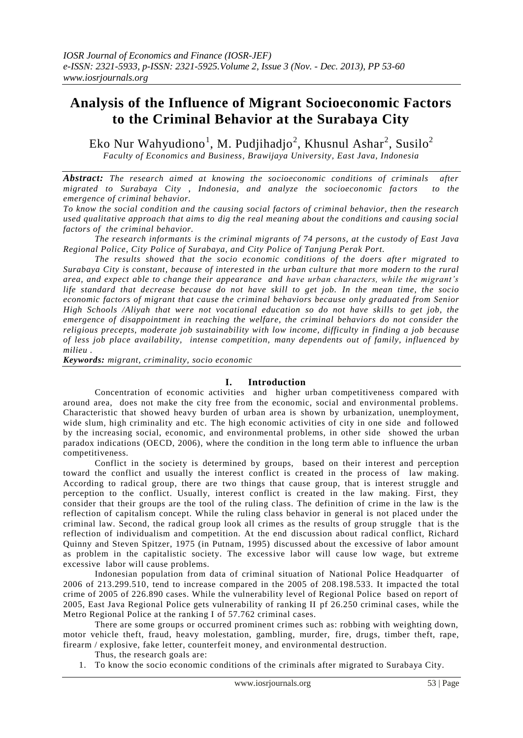# **Analysis of the Influence of Migrant Socioeconomic Factors to the Criminal Behavior at the Surabaya City**

Eko Nur Wahyudiono<sup>1</sup>, M. Pudjihadjo<sup>2</sup>, Khusnul Ashar<sup>2</sup>, Susilo<sup>2</sup> *Faculty of Economics and Business, Brawijaya University, East Java, Indonesia*

*Abstract: The research aimed at knowing the socioeconomic conditions of criminals after migrated to Surabaya City*, *Indonesia*, *and analyze the socioeconomic factors* to *the emergence of criminal behavior.* 

*To know the social condition and the causing social factors of criminal behavior, then the research used qualitative approach that aims to dig the real meaning about the conditions and causing social factors of the criminal behavior.* 

*The research informants is the criminal migrants of 74 persons, at the custody of East Java Regional Police, City Police of Surabaya, and City Police of Tanjung Perak Port.*

*The results showed that the socio economic conditions of the doers afte r migrated to Surabaya City is constant, because of interested in the urban culture that more modern to the rural area, and expect able to change their appearance and have urban characters, while the migrant's life standard that decrease because do not have skill to get job. In the mean time, the socio economic factors of migrant that cause the criminal behaviors because only graduated from Senior High Schools /Aliyah that were not vocational education so do not have skills to get job, the emergence of disappointment in reaching the welfare, the criminal behaviors do not consider the religious precepts, moderate job sustainability with low income, difficulty in finding a job because of less job place availability, intense competition, many dependents out of family, influenced by milieu .*

*Keywords: migrant, criminality, socio economic* 

#### **I. Introduction**

Concentration of economic activities and higher urban competitiveness compared with around area, does not make the city free from the economic, social and environmental problems. Characteristic that showed heavy burden of urban area is shown by urbanization, unemployment, wide slum, high criminality and etc. The high economic activities of city in one side and followed by the increasing social, economic, and environmental problems, in other side showed the urban paradox indications (OECD, 2006), where the condition in the long term able to influence the urban competitiveness.

Conflict in the society is determined by groups, based on their interest and perception toward the conflict and usually the interest conflict is created in the process of law making. According to radical group, there are two things that cause group, that is interest struggle and perception to the conflict. Usually, interest conflict is created in the law making. First, they consider that their groups are the tool of the ruling class. The definition of crime in the law is the reflection of capitalism concept. While the ruling class behavior in general is not placed under the criminal law. Second, the radical group look all crimes as the results of group struggle t hat is the reflection of individualism and competition. At the end discussion about radical conflict, Richard Quinny and Steven Spitzer, 1975 (in Putnam, 1995) discussed about the excessive of labor amount as problem in the capitalistic society. The excessive labor will cause low wage, but extreme excessive labor will cause problems.

Indonesian population from data of criminal situation of National Police Headquarter of  $2006$  of  $213.299.510$ , tend to increase compared in the  $2005$  of  $208.198.533$ . It impacted the total crime of 2005 of 226.890 cases. While the vulnerability level of Regional Police based on report of 2005, East Java Regional Police gets vulnerability of ranking II pf 26.250 criminal cases, while the Metro Regional Police at the ranking I of 57.762 criminal cases.

There are some groups or occurred prominent crimes such as: robbing with weighting down, motor vehicle theft, fraud, heavy molestation, gambling, murder, fire, drugs, timber theft, rape, firearm / explosive, fake letter, counterfeit money, and environmental destruction.

Thus, the research goals are:

1. To know the socio economic conditions of the criminals after migrated to Surabaya City.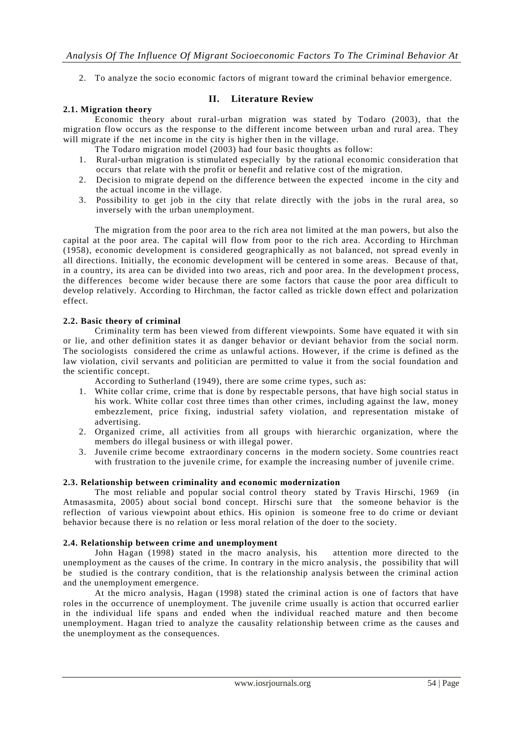2. To analyze the socio economic factors of migrant toward the criminal behavior emergence.

## **2.1. Migration theory**

**II. Literature Review**

Economic theory about rural-urban migration was stated by Todaro (2003), that the migration flow occurs as the response to the different income between urban and rural area. They will migrate if the net income in the city is higher then in the village.

- The Todaro migration model (2003) had four basic thoughts as follow:
- 1. Rural-urban migration is stimulated especially by the rational economic consideration that occurs that relate with the profit or benefit and re lative cost of the migration.
- 2. Decision to migrate depend on the difference between the expected income in the city and the actual income in the village.
- 3. Possibility to get job in the city that relate directly with the jobs in the rural area, so inversely with the urban unemployment.

The migration from the poor area to the rich area not limited at the man powers, but also the capital at the poor area. The capital will flow from poor to the rich area. According to Hirchman (1958), economic development is considered geographically as not balanced, not spread evenly in all directions. Initially, the economic development will be centered in some areas. Because of that, in a country, its area can be divided into two areas, rich and poor area. In the development process, the differences become wider because there are some factors that cause the poor area difficult to develop relatively. According to Hirchman, the factor called as trickle down effect and polarization effect.

## **2.2. Basic theory of criminal**

Criminality term has been viewed from different viewpoints. Some have equated it with sin or lie, and other definition states it as danger behavior or deviant behavior from the social norm. The sociologists considered the crime as unlawful actions. However, if the crime is defined as the law violation, civil servants and politician are permitted to value it from the social foundation and the scientific concept.

According to Sutherland (1949), there are some crime types, such as:

- 1. White collar crime, crime that is done by respectable persons, that have high social status in his work. White collar cost three times than other crimes, including against the law, money embezzlement, price fixing, industrial safety violation, and representation mistake of advertising.
- 2. Organized crime, all activities from all groups with hierarchic organization, where the members do illegal business or with illegal power.
- 3. Juvenile crime become extraordinary concerns in the modern society. Some countries react with frustration to the juvenile crime, for example the increasing number of juvenile crime.

#### **2.3. Relationship between criminality and economic modernization**

The most reliable and popular social control theory stated by Travis Hirschi, 1969 (in Atmasasmita, 2005) about social bond concept. Hirschi sure that the someone behavior is the reflection of various viewpoint about ethics. His opinion is someone free to do crime or deviant behavior because there is no relation or less moral relation of the doer to the society.

#### **2.4. Relationship between crime and unemployment**

John Hagan (1998) stated in the macro analysis, his attention more directed to the unemployment as the causes of the crime. In contrary in the micro analysis, the possibility that will be studied is the contrary condition, that is the relationship analysis between the criminal action and the unemployment emergence.

At the micro analysis, Hagan (1998) stated the criminal action is one of factors that have roles in the occurrence of unemployment. The juvenile crime usually is action that occurred earlier in the individual life spans and ended when the individual reached mature and then become unemployment. Hagan tried to analyze the causality relationship between crime as the causes and the unemployment as the consequences.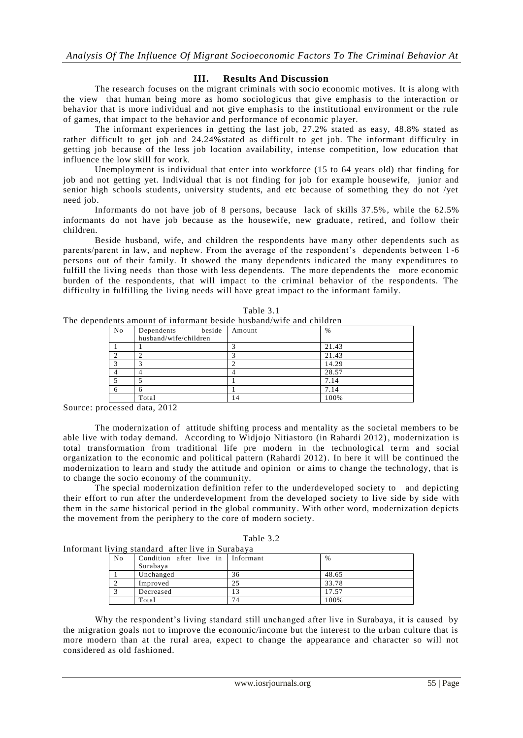## **III. Results And Discussion**

The research focuses on the migrant criminals with socio economic motives. It is along with the view that human being more as homo sociologicus that give emphasis to the interaction or behavior that is more individual and not give emphasis to the institutional environment or the rule of games, that impact to the behavior and performance of economic player.

The informant experiences in getting the last job, 27.2% stated as easy, 48.8% stated as rather difficult to get job and 24.24%stated as difficult to get job. The informant difficulty in getting job because of the less job location availability, intense competition, low education that influence the low skill for work.

Unemployment is individual that enter into workforce (15 to 64 years old) that finding for job and not getting yet. Individual that is not finding for job for example housewife, junior and senior high schools students, university students, and etc because of something they do not /yet need job.

Informants do not have job of 8 persons, because lack of skills 37.5%, while the 62.5% informants do not have job because as the housewife, new graduate, retired, and follow their children.

Beside husband, wife, and children the respondents have many other dependents such as parents/parent in law, and nephew. From the average of the respondent's dependents between 1 -6 persons out of their family. It showed the many dependents indicated the many expenditures to fulfill the living needs than those with less dependents. The more dependents the more economic burden of the respondents, that will impact to the criminal behavior of the respondents. The difficulty in fulfilling the living needs will have great impact to the informant family.

| ents amount of informant beside husband/wrie and children |                       |        |               |  |  |
|-----------------------------------------------------------|-----------------------|--------|---------------|--|--|
| No                                                        | beside<br>Dependents  | Amount | $\frac{0}{6}$ |  |  |
|                                                           | husband/wife/children |        |               |  |  |
|                                                           |                       |        | 21.43         |  |  |
| $\mathcal{L}$                                             |                       |        | 21.43         |  |  |
| $\mathcal{R}$                                             |                       |        | 14.29         |  |  |
|                                                           |                       |        | 28.57         |  |  |
|                                                           |                       |        | 7.14          |  |  |
| -6                                                        | h                     |        | 7.14          |  |  |
|                                                           | Total                 | 14     | 100%          |  |  |

| able |  |
|------|--|
|------|--|

The dependents amount of informant beside husband/wife and children

Source: processed data, 2012

The modernization of attitude shifting process and mentality as the societal members to be able live with today demand. According to Widjojo Nitiastoro (in Rahardi 2012), modernization is total transformation from traditional life pre modern in the technological term and social organization to the economic and political pattern (Rahardi 2012). In here it will be continued the modernization to learn and study the attitude and opinion or aims to change the technology, that is to change the socio economy of the community.

The special modernization definition refer to the underdeveloped society to and depicting their effort to run after the underdevelopment from the developed society to live side by side with them in the same historical period in the global community. With other word, modernization depicts the movement from the periphery to the core of modern society.

| 'able ´ |  |
|---------|--|
|---------|--|

Informant living standard after live in Surabaya

| No | Condition after live in Informant<br>Surabava |    | $\frac{0}{6}$ |
|----|-----------------------------------------------|----|---------------|
|    | Unchanged                                     | 36 | 48.65         |
|    | Improved                                      | 25 | 33.78         |
|    | Decreased                                     |    | 17.57         |
|    | Total                                         | 74 | 100%          |

Why the respondent's living standard still unchanged after live in Surabaya, it is caused by the migration goals not to improve the economic/income but the interest to the urban culture that is more modern than at the rural area, expect to change the appearance and character so will not considered as old fashioned.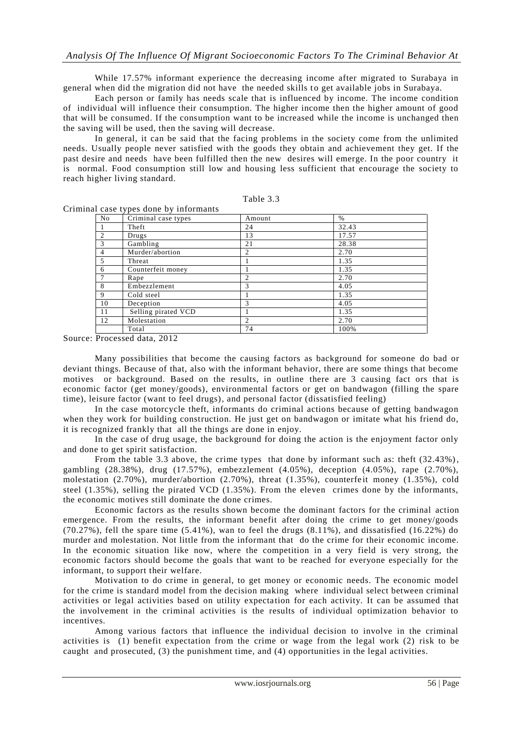While 17.57% informant experience the decreasing income after migrated to Surabaya in general when did the migration did not have the needed skills to get available jobs in Surabaya.

Each person or family has needs scale that is influenced by income. The income condition of individual will influence their consumption. The higher income then the higher amount of good that will be consumed. If the consumption want to be increased while the income is unchanged then the saving will be used, then the saving will decrease.

In general, it can be said that the facing problems in the society come from the unlimited needs. Usually people never satisfied with the goods they obtain and achievement they get. If the past desire and needs have been fulfilled then the new desires will emerge. In the poor country it is normal. Food consumption still low and housing less sufficient that encourage the society to reach higher living standard.

| `able |
|-------|
|-------|

| No             | Criminal case types | Amount         | $\%$  |  |
|----------------|---------------------|----------------|-------|--|
|                | Theft               | 24             | 32.43 |  |
| $\overline{c}$ | Drugs               | 13             | 17.57 |  |
| 3              | Gambling            | 21             | 28.38 |  |
| 4              | Murder/abortion     | 2              | 2.70  |  |
| 5              | Threat              |                | 1.35  |  |
| 6              | Counterfeit money   |                | 1.35  |  |
| 7              | Rape                | $\overline{c}$ | 2.70  |  |
| 8              | Embezzlement        | 3              | 4.05  |  |
| 9              | Cold steel          |                | 1.35  |  |
| 10             | Deception           | 3              | 4.05  |  |
| 11             | Selling pirated VCD |                | 1.35  |  |
| 12             | Molestation         | $\overline{c}$ | 2.70  |  |
|                | Total               | 74             | 100%  |  |

Criminal case types done by informants

Source: Processed data, 2012

Many possibilities that become the causing factors as background for someone do bad or deviant things. Because of that, also with the informant behavior, there are some things that become motives or background. Based on the results, in outline there are 3 causing fact ors that is economic factor (get money/goods), environmental factors or get on bandwagon (filling the spare time), leisure factor (want to feel drugs), and personal factor (dissatisfied feeling)

In the case motorcycle theft, informants do criminal actions because of getting bandwagon when they work for building construction. He just get on bandwagon or imitate what his friend do, it is recognized frankly that all the things are done in enjoy.

In the case of drug usage, the background for doing the action is the enjoyment factor only and done to get spirit satisfaction.

From the table 3.3 above, the crime types that done by informant such as: theft (32.43%), gambling (28.38%), drug (17.57%), embezzlement (4.05%), deception (4.05%), rape (2.70%), molestation  $(2.70\%)$ , murder/abortion  $(2.70\%)$ , threat  $(1.35\%)$ , counterfeit money  $(1.35\%)$ , cold steel (1.35%), selling the pirated VCD (1.35%). From the eleven crimes done by the informants, the economic motives still dominate the done crimes.

Economic factors as the results shown become the dominant factors for the criminal action emergence. From the results, the informant benefit after doing the crime to get money/goods (70.27%), fell the spare time (5.41%), wan to feel the drugs (8.11%), and dissatisfied (16.22%) do murder and molestation. Not little from the informant that do the crime for their economic income. In the economic situation like now, where the competition in a very field is very strong, the economic factors should become the goals that want to be reached for everyone especially for the informant, to support their welfare.

Motivation to do crime in general, to get money or economic needs. The economic model for the crime is standard model from the decision making where individual select between criminal activities or legal activities based on utility expectation for each activity. It can be assumed that the involvement in the criminal activities is the results of individual optimization behavior to incentives.

Among various factors that influence the individual decision to involve in the criminal activities is (1) benefit expectation from the crime or wage from the legal work (2) risk to be caught and prosecuted, (3) the punishment time, and (4) opportunities in the legal activities.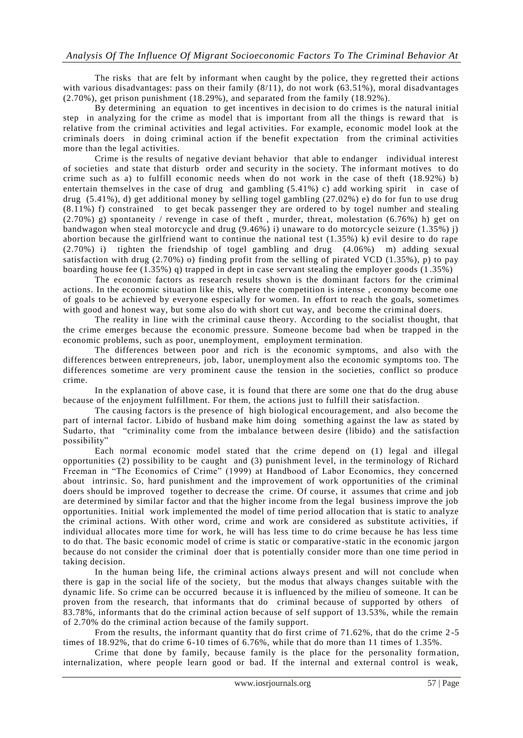The risks that are felt by informant when caught by the police, they re gretted their actions with various disadvantages: pass on their family  $(8/11)$ , do not work (63.51%), moral disadvantages (2.70%), get prison punishment (18.29%), and separated from the family (18.92%).

By determining an equation to get incentives in dec ision to do crimes is the natural initial step in analyzing for the crime as model that is important from all the things is reward that is relative from the criminal activities and legal activities. For example, economic model look at the criminals doers in doing criminal action if the benefit expectation from the criminal activities more than the legal activities.

Crime is the results of negative deviant behavior that able to endanger individual interest of societies and state that disturb order and security in the society. The informant motives to do crime such as a) to fulfill economic needs when do not work in the case of theft (18.92%) b) entertain themselves in the case of drug and gambling (5.41%) c) add working spirit in case of drug (5.41%), d) get additional money by selling togel gambling (27.02%) e) do for fun to use drug (8.11%) f) constrained to get becak passenger they are ordered to by togel number and stealing  $(2.70%)$  g) spontaneity / revenge in case of theft, murder, threat, molestation  $(6.76%)$  h) get on bandwagon when steal motorcycle and drug (9.46%) i) unaware to do motorcycle seizure (1.35%) j) abortion because the girlfriend want to continue the national test (1.35%) k) evil desire to do rape (2.70%) i) tighten the friendship of togel gambling and drug (4.06%) m) adding sexual satisfaction with drug  $(2.70\%)$  o) finding profit from the selling of pirated VCD  $(1.35\%)$ , p) to pay boarding house fee (1.35%) q) trapped in dept in case servant stealing the employer goods  $(1.35\%)$ 

The economic factors as research results shown is the dominant factors for the criminal actions. In the economic situation like this, where the competition is intense , economy become one of goals to be achieved by everyone especially for women. In effort to reach the goals, sometimes with good and honest way, but some also do with short cut way, and become the criminal doers.

The reality in line with the criminal cause theory. According to the socialist thought, that the crime emerges because the economic pressure. Someone become bad when be trapped in the economic problems, such as poor, unemployment, employment termination.

The differences between poor and rich is the economic symptoms, and also with the differences between entrepreneurs, job, labor, unemployment also the economic symptoms too. The differences sometime are very prominent cause the tension in the societies, conflict so produce crime.

In the explanation of above case, it is found that there are some one that do the drug abuse because of the enjoyment fulfillment. For them, the actions just to fulfill their satisfaction.

The causing factors is the presence of high biological encouragement, and also become the part of internal factor. Libido of husband make him doing something a gainst the law as stated by Sudarto, that "criminality come from the imbalance between desire (libido) and the satisfaction possibility"

Each normal economic model stated that the crime depend on (1) legal and illegal opportunities (2) possibility to be caught and (3) punishment level, in the terminology of Richard Freeman in "The Economics of Crime" (1999) at Handbood of Labor Economics, they concerned about intrinsic. So, hard punishment and the improvement of work opportunities of the criminal doers should be improved together to decrease the crime. Of course, it assumes that crime and job are determined by similar factor and that the higher income from the legal business improve the job opportunities. Initial work implemented the model of time period allocation that is static to analyze the criminal actions. With other word, crime and work are considered as substitute activities, if individual allocates more time for work, he will has less time to do crime because he has less time to do that. The basic economic model of crime is static or comparative -static in the economic jargon because do not consider the criminal doer that is potentially consider more than one time period in taking decision.

In the human being life, the criminal actions always present and will not conclude when there is gap in the social life of the society, but the modus that always changes suitable with the dynamic life. So crime can be occurred because it is influenced by the milieu of someone. It can be proven from the research, that informants that do criminal because of supported by others of 83.78%, informants that do the criminal action because of self support of 13.53%, while the remain of 2.70% do the criminal action because of the family support.

From the results, the informant quantity that do first crime of 71.62%, that do the crime 2 -5 times of 18.92%, that do crime 6-10 times of 6.76%, while that do more than 11 times of 1.35%.

Crime that done by family, because family is the place for the personality formation, internalization, where people learn good or bad. If the internal and external control is weak,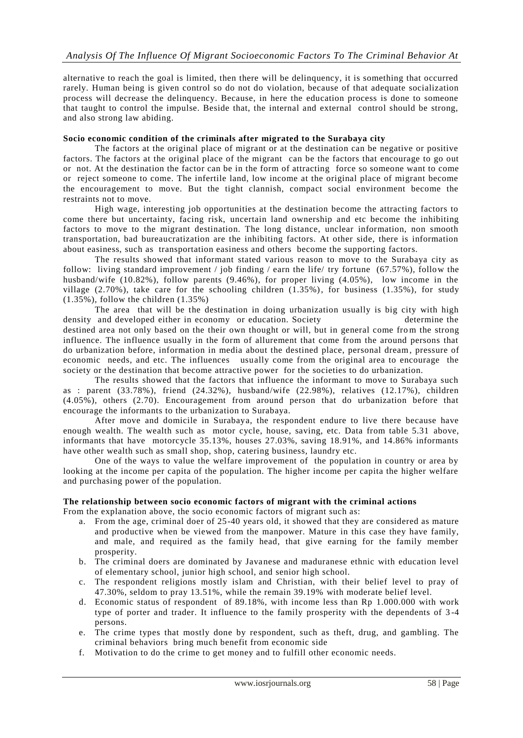alternative to reach the goal is limited, then there will be delinquency, it is something that occurred rarely. Human being is given control so do not do violation, because of that adequate socialization process will decrease the delinquency. Because, in here the education process is done to someone that taught to control the impulse. Beside that, the internal and external control should be strong, and also strong law abiding.

## **Socio economic condition of the criminals after migrated to the Surabaya city**

The factors at the original place of migrant or at the destination can be negative or positive factors. The factors at the original place of the migrant can be the factors that encourage to go out or not. At the destination the factor can be in the form of attracting force so someone want to come or reject someone to come. The infertile land, low income at the original place of migrant become the encouragement to move. But the tight clannish, compact social environment become the restraints not to move.

High wage, interesting job opportunities at the destination become the attracting factors to come there but uncertainty, facing risk, uncertain land ownership and etc become the inhibiting factors to move to the migrant destination. The long distance, unclear information, non smooth transportation, bad bureaucratization are the inhibiting factors. At other side, there is information about easiness, such as transportation easiness and others become the supporting factors.

The results showed that informant stated various reason to move to the Surabaya city as follow: living standard improvement / job finding / earn the life/ try fortune (67.57%), follow the husband/wife (10.82%), follow parents (9.46%), for proper living (4.05%), low income in the village (2.70%), take care for the schooling children  $(1.35\%)$ , for business  $(1.35\%)$ , for study (1.35%), follow the children (1.35%)

The area that will be the destination in doing urbanization usually is big city with high density and developed either in economy or education. Society determine the destined area not only based on the their own thought or will, but in general come from the strong influence. The influence usually in the form of allurement that come from the around persons that do urbanization before, information in media about the destined place, personal dream, pressure of economic needs, and etc. The influences usually come from the original area to encourage the society or the destination that become attractive power for the societies to do urbanization.

The results showed that the factors that influence the informant to move to Surabaya such as : parent  $(33.78\%)$ , friend  $(24.32\%)$ , husband/wife  $(22.98\%)$ , relatives  $(12.17\%)$ , children (4.05%), others (2.70). Encouragement from around person that do urbanization before that encourage the informants to the urbanization to Surabaya.

After move and domicile in Surabaya, the respondent endure to live there because have enough wealth. The wealth such as motor cycle, house, saving, etc. Data from table 5.31 above, informants that have motorcycle 35.13%, houses 27.03%, saving 18.91%, and 14.86% informants have other wealth such as small shop, shop, catering business, laundry etc.

One of the ways to value the welfare improvement of the population in country or area by looking at the income per capita of the population. The higher income per capita the higher welfare and purchasing power of the population.

#### **The relationship between socio economic factors of migrant with the criminal actions**

From the explanation above, the socio economic factors of migrant such as:

- a. From the age, criminal doer of 25-40 years old, it showed that they are considered as mature and productive when be viewed from the manpower. Mature in this case they have family, and male, and required as the family head, that give earning for the family member prosperity.
- b. The criminal doers are dominated by Javanese and maduranese ethnic with education level of elementary school, junior high school, and senior high school.
- c. The respondent religions mostly islam and Christian, with their belief level to pray of 47.30%, seldom to pray 13.51%, while the remain 39.19% with moderate belief level.
- d. Economic status of respondent of 89.18%, with income less than Rp 1.000.000 with work type of porter and trader. It influence to the family prosperity with the dependents of 3 -4 persons.
- e. The crime types that mostly done by respondent, such as theft, drug, and gambling. The criminal behaviors bring much benefit from economic side
- f. Motivation to do the crime to get money and to fulfill other economic needs.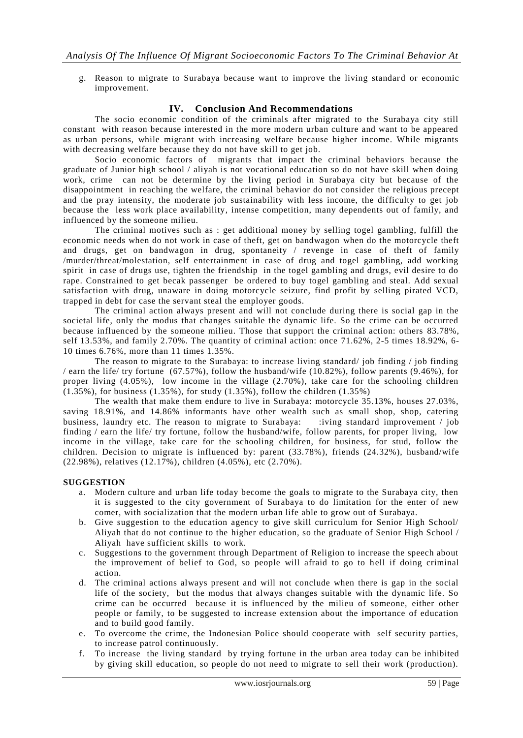g. Reason to migrate to Surabaya because want to improve the living standard or economic improvement.

## **IV. Conclusion And Recommendations**

The socio economic condition of the criminals after migrated to the Surabaya city still constant with reason because interested in the more modern urban culture and want to be appeared as urban persons, while migrant with increasing welfare because higher income. While migrants with decreasing welfare because they do not have skill to get job.

Socio economic factors of migrants that impact the criminal behaviors because the graduate of Junior high school / aliyah is not vocational education so do not have skill when doing work, crime can not be determine by the living period in Surabaya city but because of the disappointment in reaching the welfare, the criminal behavior do not consider the religious precept and the pray intensity, the moderate job sustainability with less income, the difficulty to get job because the less work place availability, intense competition, many dependents out of family, and influenced by the someone milieu.

The criminal motives such as : get additional money by selling togel gambling, fulfill the economic needs when do not work in case of theft, get on bandwagon when do the motorcycle theft and drugs, get on bandwagon in drug, spontaneity / revenge in case of theft of family /murder/threat/molestation, self entertainment in case of drug and togel gambling, add working spirit in case of drugs use, tighten the friendship in the togel gambling and drugs, evil desire to do rape. Constrained to get becak passenger be ordered to buy togel gambling and steal. Add sexual satisfaction with drug, unaware in doing motorcycle seizure, find profit by selling pirated VCD, trapped in debt for case the servant steal the employer goods.

The criminal action always present and will not conclude during there is social gap in the societal life, only the modus that changes suitable the dynamic life. So the crime can be occurred because influenced by the someone milieu. Those that support the criminal action: others 83.78%, self 13.53%, and family 2.70%. The quantity of criminal action: once 71.62%, 2-5 times 18.92%, 6- 10 times 6.76%, more than 11 times 1.35%.

The reason to migrate to the Surabaya: to increase living standard/ job finding / job finding / earn the life/ try fortune (67.57%), follow the husband/wife (10.82%), follow parents (9.46%), for proper living (4.05%), low income in the village (2.70%), take care for the schooling children (1.35%), for business (1.35%), for study (1.35%), follow the children (1.35%)

The wealth that make them endure to live in Surabaya: motorcycle 35.13%, houses 27.03%, saving 18.91%, and 14.86% informants have other wealth such as small shop, shop, catering business, laundry etc. The reason to migrate to Surabaya: :iving standard improvement / job finding / earn the life/ try fortune, follow the husband/wife, follow parents, for proper living, low income in the village, take care for the schooling children, for business, for stud, follow the children. Decision to migrate is influenced by: parent (33.78%), friends (24.32%), husband/wife (22.98%), relatives (12.17%), children (4.05%), etc (2.70%).

#### **SUGGESTION**

- a. Modern culture and urban life today become the goals to migrate to the Surabaya city, then it is suggested to the city government of Surabaya to do limitation for the enter of new comer, with socialization that the modern urban life able to grow out of Surabaya.
- b. Give suggestion to the education agency to give skill curriculum for Senior High School/ Aliyah that do not continue to the higher education, so the graduate of Senior High School / Aliyah have sufficient skills to work.
- c. Suggestions to the government through Department of Religion to increase the speech about the improvement of belief to God, so people will afraid to go to hell if doing criminal action.
- d. The criminal actions always present and will not conclude when there is gap in the social life of the society, but the modus that always changes suitable with the dynamic life. So crime can be occurred because it is influenced by the milieu of someone, either other people or family, to be suggested to increase extension about the importance of education and to build good family.
- e. To overcome the crime, the Indonesian Police should cooperate with self security parties, to increase patrol continuously.
- f. To increase the living standard by trying fortune in the urban area today can be inhibited by giving skill education, so people do not need to migrate to sell their work (production).